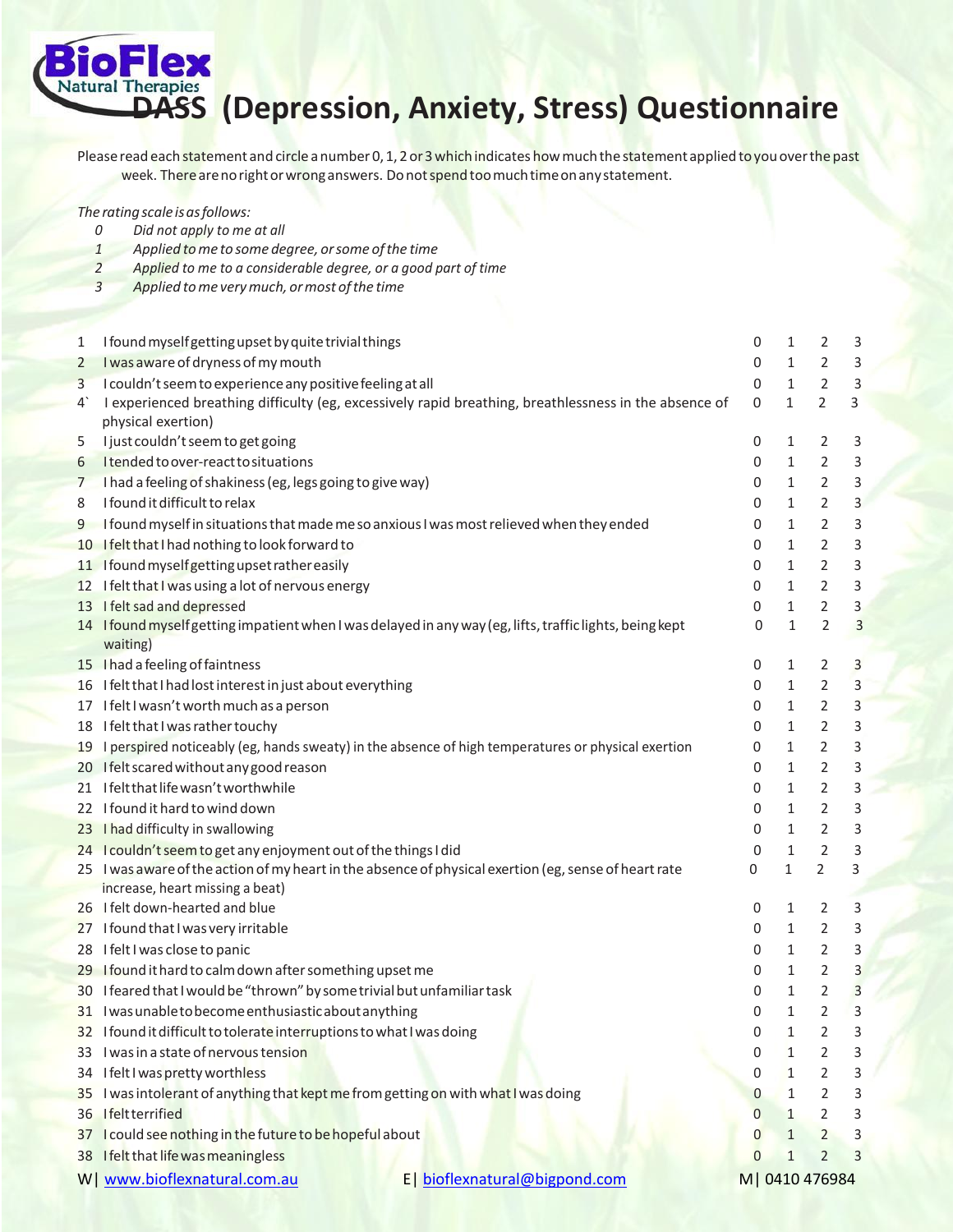

## **DASS (Depression, Anxiety, Stress) Questionnaire**

Please read each statement and circle a number 0, 1, 2 or 3 which indicates how much the statement applied t<mark>o</mark> you over the past week. There are no right or wrong answers. Do not spend too much time on any statement.

*The ratingscale isasfollows:*

- *0 Did not apply to me at all*
- *1 Applied tome to some degree, orsome ofthe time*
- *2 Applied to me to a considerable degree, or a good part of time*
- *3 Applied tome verymuch, ormost ofthe time*

| 1                                                                                  | I found myself getting upset by quite trivial things                                                     | 0              | $\mathbf{1}$ | 2              | 3                       |  |
|------------------------------------------------------------------------------------|----------------------------------------------------------------------------------------------------------|----------------|--------------|----------------|-------------------------|--|
| 2                                                                                  | I was aware of dryness of my mouth                                                                       | 0              | 1            | 2              | 3                       |  |
| 3                                                                                  | I couldn't seem to experience any positive feeling at all                                                | 0              | 1            | $\overline{2}$ | $\mathsf{3}$            |  |
| $4^{\circ}$                                                                        | I experienced breathing difficulty (eg, excessively rapid breathing, breathlessness in the absence of    | 0              | $\mathbf{1}$ | $\overline{2}$ | $\overline{3}$          |  |
|                                                                                    | physical exertion)                                                                                       |                |              |                |                         |  |
| 5                                                                                  | I just couldn't seem to get going                                                                        | 0              | 1            | 2              | 3                       |  |
| 6                                                                                  | Itended to over-react to situations                                                                      | 0              | 1            | 2              | 3                       |  |
| $\overline{7}$                                                                     | I had a feeling of shakiness (eg, legs going to give way)                                                | 0              | 1            | 2              | 3                       |  |
| 8                                                                                  | I found it difficult to relax                                                                            | 0              | 1            | 2              | $\mathsf{3}$            |  |
| 9                                                                                  | I found myself in situations that made me so anxious I was most relieved when they ended                 | 0              | 1            | $\overline{2}$ | $\mathsf 3$             |  |
|                                                                                    | 10 I felt that I had nothing to look forward to                                                          | 0              | 1            | 2              | 3                       |  |
|                                                                                    | 11 Ifound myself getting upset rather easily                                                             | 0              | 1            | 2              | 3                       |  |
|                                                                                    | 12 I felt that I was using a lot of nervous energy                                                       | 0              | 1            | $\overline{2}$ | $\mathsf{3}$            |  |
|                                                                                    | 13 I felt sad and depressed                                                                              | 0              | 1            | $\overline{2}$ | $\overline{\mathbf{3}}$ |  |
|                                                                                    | 14 I found myself getting impatient when I was delayed in any way (eg, lifts, traffic lights, being kept | 0              | $\mathbf{1}$ | $\overline{2}$ | $\overline{3}$          |  |
|                                                                                    | waiting)                                                                                                 |                |              |                |                         |  |
|                                                                                    | 15 I had a feeling of faintness                                                                          | 0              | 1            | 2              | $\overline{3}$          |  |
|                                                                                    | 16 I felt that I had lost interest in just about everything                                              | 0              | 1            | 2              | $\mathbf{3}$            |  |
|                                                                                    | 17 I felt I wasn't worth much as a person                                                                | 0              | 1            | 2              | $\overline{3}$          |  |
|                                                                                    | 18 I felt that I was rather touchy                                                                       | 0              | 1            | $\overline{2}$ | 3                       |  |
|                                                                                    | 19 I perspired noticeably (eg, hands sweaty) in the absence of high temperatures or physical exertion    | 0              | 1            | 2              | 3                       |  |
|                                                                                    | 20 Ifelt scared without any good reason                                                                  | 0              | 1            | $\overline{2}$ | $\mathsf 3$             |  |
|                                                                                    | 21 Ifelt that life wasn't worthwhile                                                                     | 0              | 1            | $\overline{2}$ | 3                       |  |
|                                                                                    | 22 I found it hard to wind down                                                                          | 0              | 1            | 2              | 3                       |  |
|                                                                                    | 23 I had difficulty in swallowing                                                                        | 0              | 1            | 2              | $\mathsf{3}$            |  |
|                                                                                    | 24 I couldn't seem to get any enjoyment out of the things I did                                          | 0              | $\mathbf 1$  | $\overline{2}$ | $\mathsf{3}$            |  |
|                                                                                    | 25 I was aware of the action of my heart in the absence of physical exertion (eg, sense of heart rate    | 0              | $\mathbf{1}$ | $\overline{2}$ | $\mathbf{3}$            |  |
|                                                                                    | increase, heart missing a beat)                                                                          |                |              |                |                         |  |
|                                                                                    | 26 I felt down-hearted and blue                                                                          | 0              | $\mathbf{1}$ | 2              | 3                       |  |
|                                                                                    | 27 I found that I was very irritable                                                                     | 0              | 1            | 2              | 3                       |  |
|                                                                                    | 28 I felt I was close to panic                                                                           | 0              | 1            | 2              | 3                       |  |
|                                                                                    | 29 I found it hard to calm down after something upset me                                                 | 0              | 1            | $\overline{2}$ | $\overline{\mathbf{3}}$ |  |
|                                                                                    | 30 I feared that I would be "thrown" by some trivial but unfamiliar task                                 | 0              | $\mathbf{1}$ | 2              | $\overline{3}$          |  |
|                                                                                    | 31 Iwas unable to become enthusiastic about anything                                                     | 0              | $\mathbf{1}$ | $\overline{2}$ | $\overline{3}$          |  |
|                                                                                    | 32 Ifound it difficult to tolerate interruptions to what I was doing                                     | 0              | 1            | $\overline{2}$ | 3                       |  |
|                                                                                    | 33 I was in a state of nervous tension                                                                   | 0              | 1            | 2              | 3                       |  |
| 34                                                                                 | I felt I was pretty worthless                                                                            | 0              | 1            | 2              | $\mathsf{3}$            |  |
| 35                                                                                 | I was intolerant of anything that kept me from getting on with what I was doing                          | 0              | 1            | 2              | 3                       |  |
|                                                                                    | 36 Ifeltterrified                                                                                        | $\overline{0}$ | 1            | 2              | 3                       |  |
|                                                                                    | 37 I could see nothing in the future to be hopeful about                                                 | $\bf{0}$       | $\mathbf{1}$ | $\overline{2}$ | 3                       |  |
|                                                                                    | 38 Ifelt that life was meaningless                                                                       | $\mathbf{0}$   | $\mathbf{1}$ | 2              | 3                       |  |
| W   www.bioflexnatural.com.au<br>E   bioflexnatural@bigpond.com<br>M   0410 476984 |                                                                                                          |                |              |                |                         |  |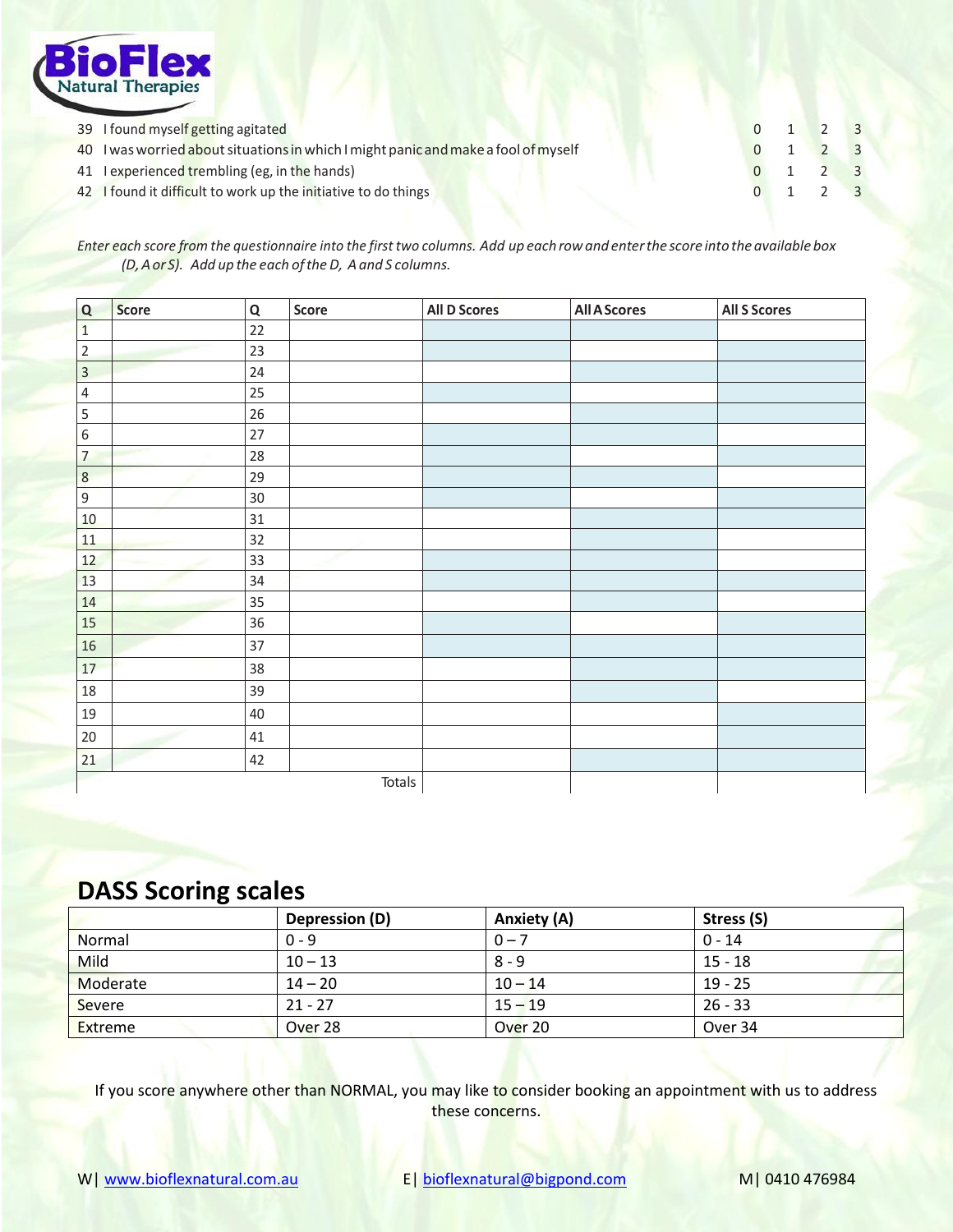

| 39 I found myself getting agitated                                                 | $0 \t1 \t2 \t3$             |  |
|------------------------------------------------------------------------------------|-----------------------------|--|
| 40 I was worried about situations in which I might panic and make a fool of myself | $0 \quad 1 \quad 2 \quad 3$ |  |
| 41 Lexperienced trembling (eg, in the hands)                                       | $0 \t1 \t2 \t3$             |  |
| 42 I found it difficult to work up the initiative to do things                     | $0 \t1 \t2 \t3$             |  |

Enter each score from the questionnaire into the first two columns. Add up each row and enter the score into the available box *(D,Aor S). Add up the each oftheD, Aand S columns.*

| Q              | Score | $\mathbf Q$ | Score | <b>All D Scores</b> | <b>All A Scores</b> | <b>All S Scores</b> |
|----------------|-------|-------------|-------|---------------------|---------------------|---------------------|
| $\mathbf 1$    |       | 22          |       |                     |                     |                     |
| $\overline{2}$ |       | 23          |       |                     |                     |                     |
| $\overline{3}$ |       | 24          |       |                     |                     |                     |
| $\overline{4}$ |       | 25          |       |                     |                     |                     |
| $\sf 5$        |       | 26          |       |                     |                     |                     |
| $\,$ 6 $\,$    |       | $27\,$      |       |                     |                     |                     |
| $\overline{7}$ |       | 28          |       |                     |                     |                     |
| $\,8\,$        |       | 29          |       |                     |                     |                     |
| $\overline{9}$ |       | 30          |       |                     |                     |                     |
| $10\,$         |       | 31          |       |                     |                     |                     |
| 11             |       | 32          |       |                     |                     |                     |
| 12             |       | 33          |       |                     |                     |                     |
| 13             |       | 34          |       |                     |                     |                     |
| 14             |       | 35          |       |                     |                     |                     |
| 15             |       | 36          |       |                     |                     |                     |
| 16             |       | 37          |       |                     |                     |                     |
| 17             |       | 38          |       |                     |                     |                     |
| 18             |       | 39          |       |                     |                     |                     |
| 19             |       | $40\,$      |       |                     |                     |                     |
| $20\,$         |       | $41\,$      |       |                     |                     |                     |
| 21             |       | 42          |       |                     |                     |                     |
| Totals         |       |             |       |                     |                     |                     |

## **DASS Scoring scales**

|                | Depression (D) | Anxiety (A) | Stress (S) |
|----------------|----------------|-------------|------------|
| Normal         | $0 - 9$        | $0 - 7$     | $0 - 14$   |
| <b>Mild</b>    | $10 - 13$      | $8 - 9$     | $15 - 18$  |
| Moderate       | $14 - 20$      | $10 - 14$   | $19 - 25$  |
| Severe         | $21 - 27$      | $15 - 19$   | $26 - 33$  |
| <b>Extreme</b> | Over 28        | Over 20     | Over 34    |

If you score anywhere other than NORMAL, you may like to consider booking an appointment with us to address these concerns.